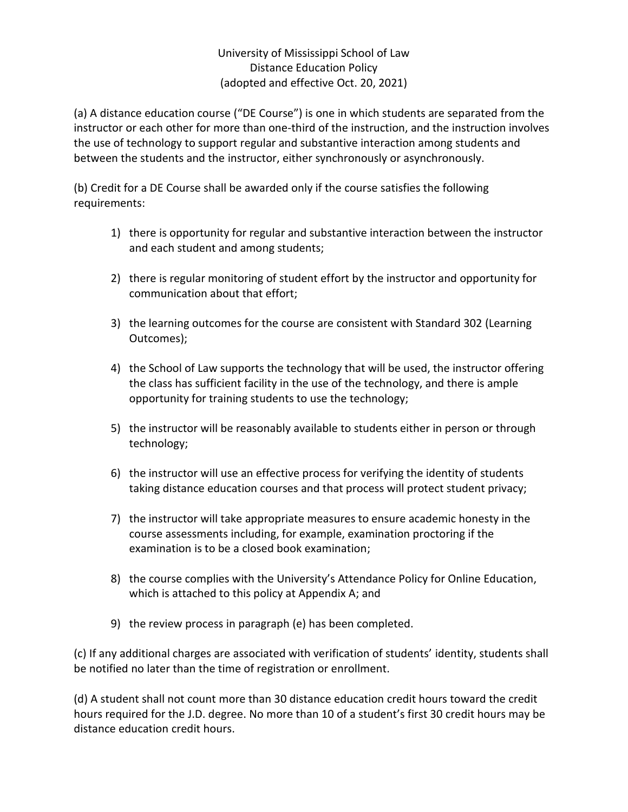## University of Mississippi School of Law Distance Education Policy (adopted and effective Oct. 20, 2021)

(a) A distance education course ("DE Course") is one in which students are separated from the instructor or each other for more than one-third of the instruction, and the instruction involves the use of technology to support regular and substantive interaction among students and between the students and the instructor, either synchronously or asynchronously.

(b) Credit for a DE Course shall be awarded only if the course satisfies the following requirements:

- 1) there is opportunity for regular and substantive interaction between the instructor and each student and among students;
- 2) there is regular monitoring of student effort by the instructor and opportunity for communication about that effort;
- 3) the learning outcomes for the course are consistent with Standard 302 (Learning Outcomes);
- 4) the School of Law supports the technology that will be used, the instructor offering the class has sufficient facility in the use of the technology, and there is ample opportunity for training students to use the technology;
- 5) the instructor will be reasonably available to students either in person or through technology;
- 6) the instructor will use an effective process for verifying the identity of students taking distance education courses and that process will protect student privacy;
- 7) the instructor will take appropriate measures to ensure academic honesty in the course assessments including, for example, examination proctoring if the examination is to be a closed book examination;
- 8) the course complies with the University's Attendance Policy for Online Education, which is attached to this policy at Appendix A; and
- 9) the review process in paragraph (e) has been completed.

(c) If any additional charges are associated with verification of students' identity, students shall be notified no later than the time of registration or enrollment.

(d) A student shall not count more than 30 distance education credit hours toward the credit hours required for the J.D. degree. No more than 10 of a student's first 30 credit hours may be distance education credit hours.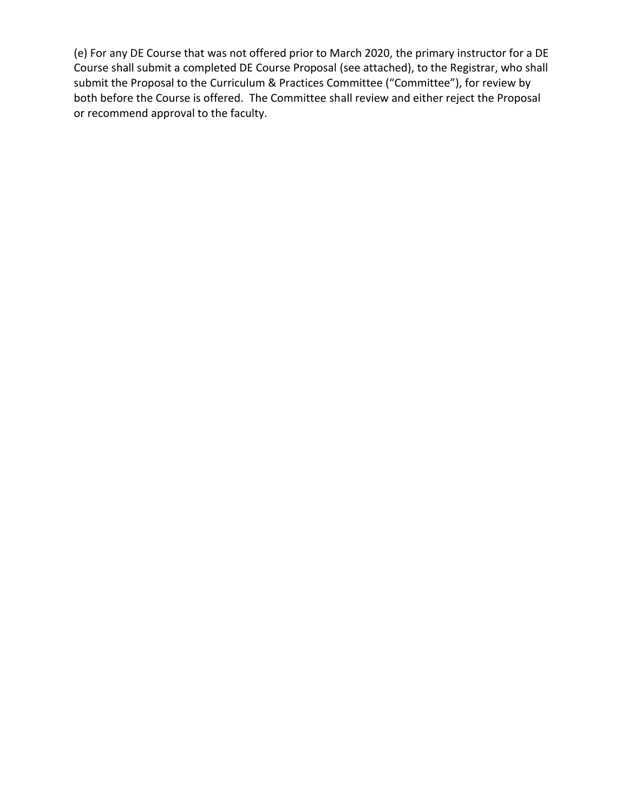(e) For any DE Course that was not offered prior to March 2020, the primary instructor for a DE Course shall submit a completed DE Course Proposal (see attached), to the Registrar, who shall submit the Proposal to the Curriculum & Practices Committee ("Committee"), for review by both before the Course is offered. The Committee shall review and either reject the Proposal or recommend approval to the faculty.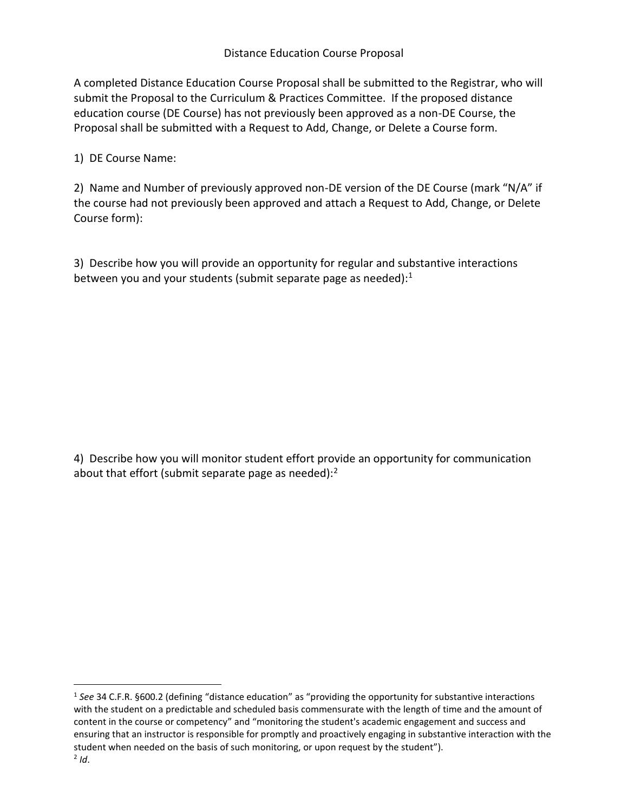A completed Distance Education Course Proposal shall be submitted to the Registrar, who will submit the Proposal to the Curriculum & Practices Committee. If the proposed distance education course (DE Course) has not previously been approved as a non-DE Course, the Proposal shall be submitted with a Request to Add, Change, or Delete a Course form.

1) DE Course Name:

2) Name and Number of previously approved non-DE version of the DE Course (mark "N/A" if the course had not previously been approved and attach a Request to Add, Change, or Delete Course form):

3) Describe how you will provide an opportunity for regular and substantive interactions between you and your students (submit separate page as needed):<sup>1</sup>

4) Describe how you will monitor student effort provide an opportunity for communication about that effort (submit separate page as needed): $2$ 

<sup>1</sup> *See* 34 C.F.R. §600.2 (defining "distance education" as "providing the opportunity for substantive interactions with the student on a predictable and scheduled basis commensurate with the length of time and the amount of content in the course or competency" and "monitoring the student's academic engagement and success and ensuring that an instructor is responsible for promptly and proactively engaging in substantive interaction with the student when needed on the basis of such monitoring, or upon request by the student").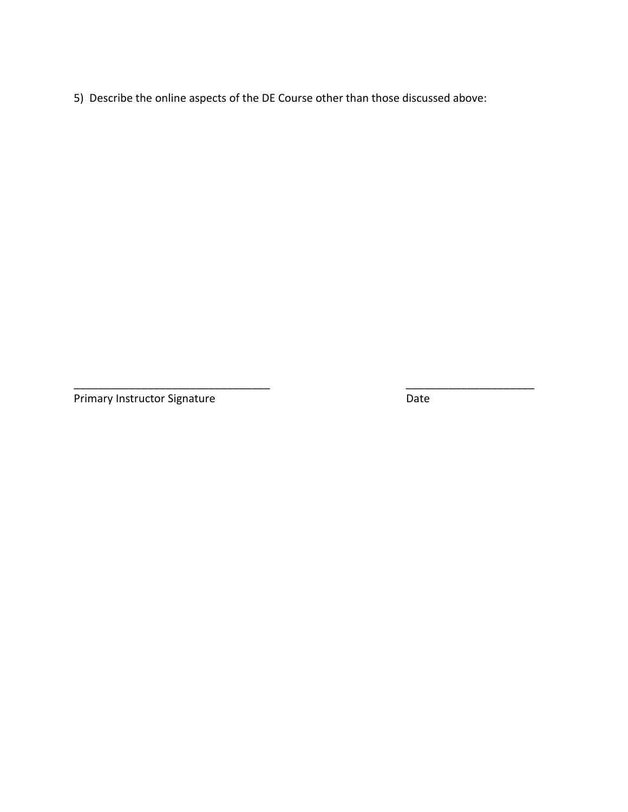5) Describe the online aspects of the DE Course other than those discussed above:

\_\_\_\_\_\_\_\_\_\_\_\_\_\_\_\_\_\_\_\_\_\_\_\_\_\_\_\_\_\_\_\_ \_\_\_\_\_\_\_\_\_\_\_\_\_\_\_\_\_\_\_\_\_

**Primary Instructor Signature Community Contract Contract Contract Contract Contract Contract Contract Contract Contract Contract Contract Contract Contract Contract Contract Contract Contract Contract Contract Contract Co**